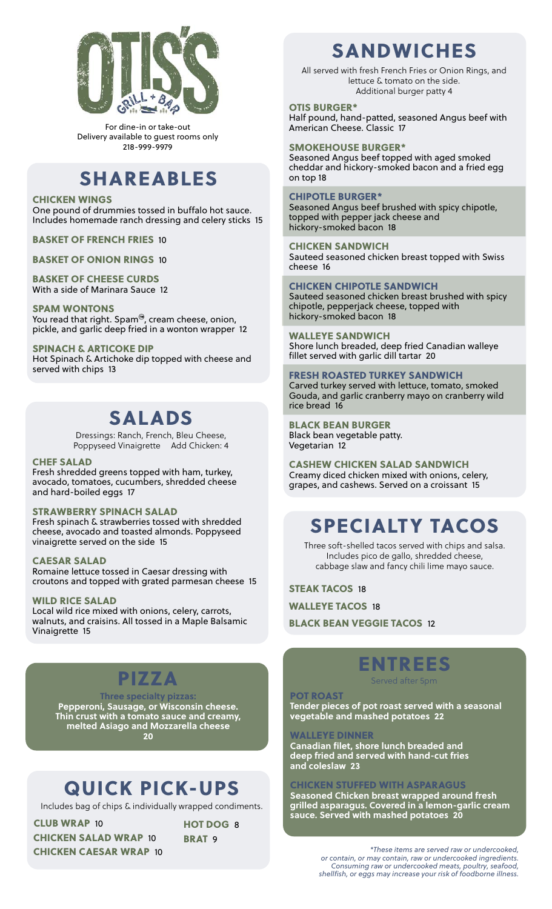

For dine-in or take-out Delivery available to guest rooms only 218-999-9979

## SHAREABLES

### CHICKEN WINGS

One pound of drummies tossed in buffalo hot sauce. Includes homemade ranch dressing and celery sticks 15

BASKET OF FRENCH FRIES 10

BASKET OF ONION RINGS 10

### BASKET OF CHEESE CURDS

With a side of Marinara Sauce 12

### SPAM WONTONS

You read that right. Spam<sup>®</sup>, cream cheese, onion, pickle, and garlic deep fried in a wonton wrapper 12

SPINACH & ARTICOKE DIP Hot Spinach & Artichoke dip topped with cheese and served with chips 13

## SALADS

Dressings: Ranch, French, Bleu Cheese, Poppyseed Vinaigrette Add Chicken: 4

### CHEF SALAD

Fresh shredded greens topped with ham, turkey, avocado, tomatoes, cucumbers, shredded cheese and hard-boiled eggs 17

### STRAWBERRY SPINACH SALAD

Fresh spinach & strawberries tossed with shredded cheese, avocado and toasted almonds. Poppyseed vinaigrette served on the side 15

### CAESAR SALAD

Romaine lettuce tossed in Caesar dressing with croutons and topped with grated parmesan cheese 15

### WILD RICE SALAD

Local wild rice mixed with onions, celery, carrots, walnuts, and craisins. All tossed in a Maple Balsamic Vinaigrette 15

PIZZA

**Three specialty pizzas: Pepperoni, Sausage, or Wisconsin cheese. Thin crust with a tomato sauce and creamy, melted Asiago and Mozzarella cheese 20**

# QUICK PICK-UPS

BRAT<sub>9</sub>

Includes bag of chips & individually wrapped condiments.

CHICKEN SALAD WRAP 10 CHICKEN CAESAR WRAP 10 CLUB WRAP 10 HOT DOG 8 SANDWICHES

All served with fresh French Fries or Onion Rings, and lettuce & tomato on the side. Additional burger patty 4

#### OTIS BURGER\*

Half pound, hand-patted, seasoned Angus beef with American Cheese. Classic 17

### SMOKEHOUSE BURGER\*

Seasoned Angus beef topped with aged smoked cheddar and hickory-smoked bacon and a fried egg on top 18

### CHIPOTLE BURGER\*

Seasoned Angus beef brushed with spicy chipotle, topped with pepper jack cheese and hickory-smoked bacon 18

CHICKEN SANDWICH Sauteed seasoned chicken breast topped with Swiss cheese 16

CHICKEN CHIPOTLE SANDWICH Sauteed seasoned chicken breast brushed with spicy chipotle, pepperjack cheese, topped with hickory-smoked bacon 18

WALLEYE SANDWICH Shore lunch breaded, deep fried Canadian walleye fillet served with garlic dill tartar 20

FRESH ROASTED TURKEY SANDWICH Carved turkey served with lettuce, tomato, smoked Gouda, and garlic cranberry mayo on cranberry wild rice bread 16

BLACK BEAN BURGER Black bean vegetable patty. Vegetarian 12

CASHEW CHICKEN SALAD SANDWICH Creamy diced chicken mixed with onions, celery, grapes, and cashews. Served on a croissant 15

# SPECIALTY TACOS

Three soft-shelled tacos served with chips and salsa. Includes pico de gallo, shredded cheese, cabbage slaw and fancy chili lime mayo sauce.

STEAK TACOS 18

WALLEYE TACOS 18

BLACK BEAN VEGGIE TACOS 12

### ENTREES Served after 5pm

### POT ROAST

**Tender pieces of pot roast served with a seasonal vegetable and mashed potatoes 22** 

### WALLEYE DINNER

**Canadian filet, shore lunch breaded and deep fried and served with hand-cut fries and coleslaw 23**

### CHICKEN STUFFED WITH ASPARAGUS

**Seasoned Chicken breast wrapped around fresh grilled asparagus. Covered in a lemon-garlic cream sauce. Served with mashed potatoes 20**

> *\*These items are served raw or undercooked, or contain, or may contain, raw or undercooked ingredients. Consuming raw or undercooked meats, poultry, seafood, shellfish, or eggs may increase your risk of foodborne illness.*